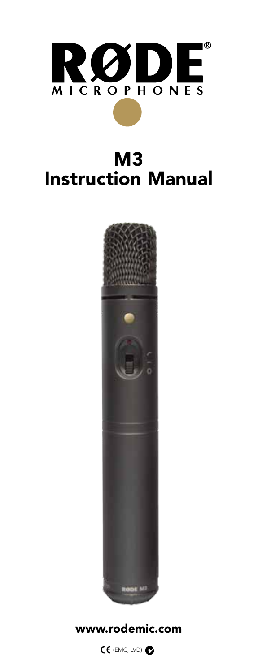

### M3 Instruction Manual



### www.rodemic.com

CE (EMC, LVD)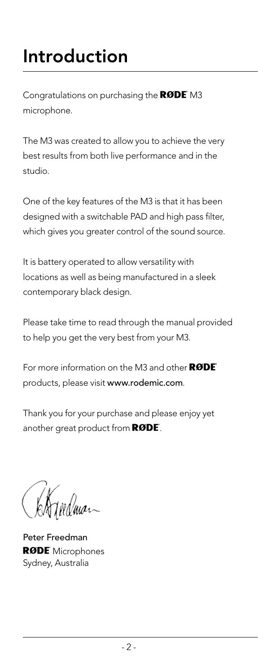# Introduction

Congratulations on purchasing the  $\mathsf{RODE}$  M3 microphone.

The M3 was created to allow you to achieve the very best results from both live performance and in the studio.

One of the key features of the M3 is that it has been designed with a switchable PAD and high pass filter, which gives you greater control of the sound source.

It is battery operated to allow versatility with locations as well as being manufactured in a sleek contemporary black design.

Please take time to read through the manual provided to help you get the very best from your M3.

For more information on the M3 and other  $\mathsf{RODE}$ products, please visit www.rodemic.com.

Thank you for your purchase and please enjoy yet another great product from  $\textsf{RODE}$ .

Chambuan

Peter Freedman **RØDE** Microphones Sydney, Australia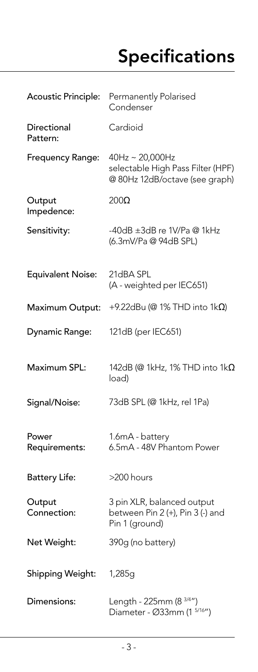# Specifications

| Acoustic Principle:      | Permanently Polarised<br>Condenser                                                    |
|--------------------------|---------------------------------------------------------------------------------------|
| Directional<br>Pattern:  | Cardioid                                                                              |
| Frequency Range:         | 40Hz ~ 20,000Hz<br>selectable High Pass Filter (HPF)<br>@80Hz 12dB/octave (see graph) |
| Output<br>Impedence:     | $200\Omega$                                                                           |
| Sensitivity:             | $-40dB \pm 3dB$ re 1V/Pa @ 1kHz<br>(6.3mV/Pa @ 94dB SPL)                              |
| <b>Equivalent Noise:</b> | 21dBA SPL<br>(A - weighted per IEC651)                                                |
|                          | Maximum Output: $+9.22$ dBu (@ 1% THD into 1k $\Omega$ )                              |
| Dynamic Range:           | 121dB (per IEC651)                                                                    |
| Maximum SPL:             | 142dB (@ 1kHz, 1% THD into 1k $\Omega$<br>load)                                       |
| Signal/Noise:            | 73dB SPL (@ 1kHz, rel 1Pa)                                                            |
| Power<br>Requirements:   | 1.6mA - battery<br>6.5mA - 48V Phantom Power                                          |
| Battery Life:            | >200 hours                                                                            |
| Output<br>Connection:    | 3 pin XLR, balanced output<br>between Pin 2 (+), Pin 3 (-) and<br>Pin 1 (ground)      |
| Net Weight:              | 390g (no battery)                                                                     |
| Shipping Weight:         | 1,285g                                                                                |
| Dimensions:              | Length - 225mm (8 3/4")<br>Diameter - Ø33mm (1 5/16")                                 |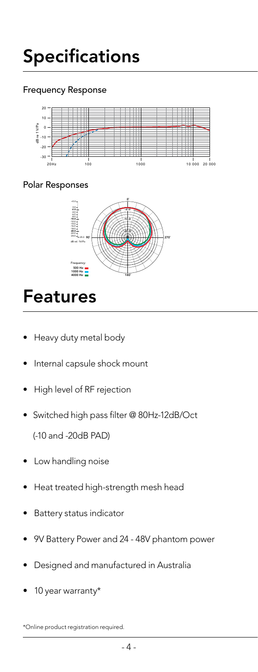## Specifications

### Frequency Response



#### Polar Responses



- Heavy duty metal body
- Internal capsule shock mount
- High level of RF rejection
- • Switched high pass filter @ 80Hz-12dB/Oct
	- (-10 and -20dB PAD)
- Low handling noise
- Heat treated high-strength mesh head
- **Battery status indicator**
- • 9V Battery Power and 24 48V phantom power
- • Designed and manufactured in Australia
- 10 year warranty\*

<sup>\*</sup>Online product registration required.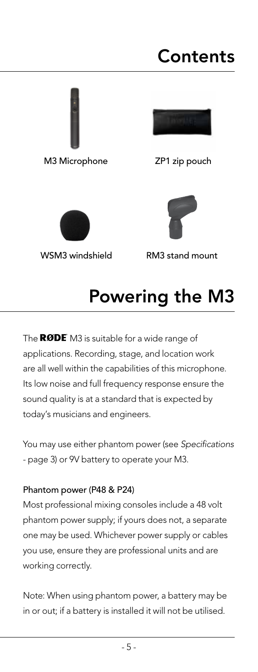

### Powering the M3

The **RØDE** M3 is suitable for a wide range of applications. Recording, stage, and location work are all well within the capabilities of this microphone. Its low noise and full frequency response ensure the sound quality is at a standard that is expected by today's musicians and engineers.

You may use either phantom power (see *Specifications*  - page 3) or 9V battery to operate your M3.

### Phantom power (P48 & P24)

Most professional mixing consoles include a 48 volt phantom power supply; if yours does not, a separate one may be used. Whichever power supply or cables you use, ensure they are professional units and are working correctly.

Note: When using phantom power, a battery may be in or out; if a battery is installed it will not be utilised.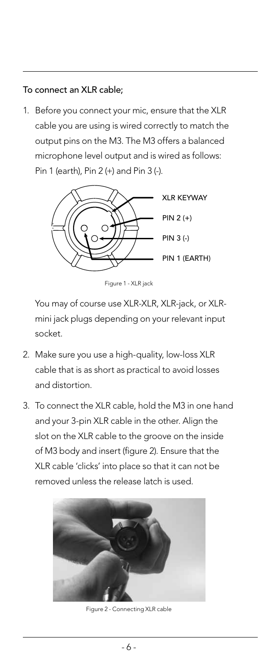### To connect an XLR cable;

1. Before you connect your mic, ensure that the XLR cable you are using is wired correctly to match the output pins on the M3. The M3 offers a balanced microphone level output and is wired as follows: Pin 1 (earth), Pin 2 (+) and Pin 3 (-).



Figure 1 - XLR jack

You may of course use XLR-XLR, XLR-jack, or XLRmini jack plugs depending on your relevant input socket.

- 2. Make sure you use a high-quality, low-loss XLR cable that is as short as practical to avoid losses and distortion.
- 3. To connect the XLR cable, hold the M3 in one hand and your 3-pin XLR cable in the other. Align the slot on the XLR cable to the groove on the inside of M3 body and insert (figure 2). Ensure that the XLR cable 'clicks' into place so that it can not be removed unless the release latch is used.



Figure 2 - Connecting XLR cable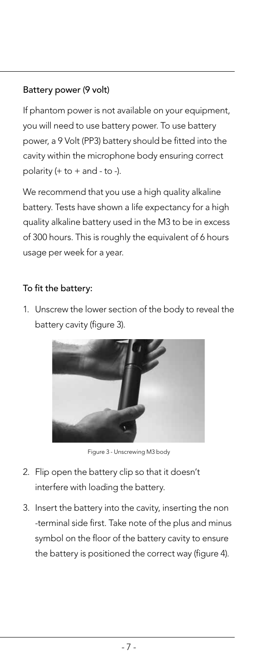### Battery power (9 volt)

If phantom power is not available on your equipment, you will need to use battery power. To use battery power, a 9 Volt (PP3) battery should be fitted into the cavity within the microphone body ensuring correct polarity  $(+ to + and - to -).$ 

We recommend that you use a high quality alkaline battery. Tests have shown a life expectancy for a high quality alkaline battery used in the M3 to be in excess of 300 hours. This is roughly the equivalent of 6 hours usage per week for a year.

### To fit the battery:

1. Unscrew the lower section of the body to reveal the battery cavity (figure 3).



Figure 3 - Unscrewing M3 body

- 2. Flip open the battery clip so that it doesn't interfere with loading the battery.
- 3. Insert the battery into the cavity, inserting the non -terminal side first. Take note of the plus and minus symbol on the floor of the battery cavity to ensure the battery is positioned the correct way (figure 4).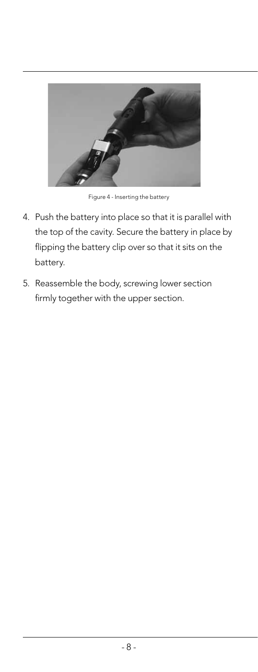

Figure 4 - Inserting the battery

- 4. Push the battery into place so that it is parallel with the top of the cavity. Secure the battery in place by flipping the battery clip over so that it sits on the battery.
- 5. Reassemble the body, screwing lower section firmly together with the upper section.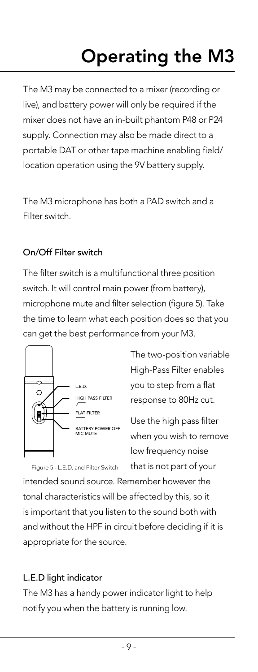# Operating the M3

The M3 may be connected to a mixer (recording or live), and battery power will only be required if the mixer does not have an in-built phantom P48 or P24 supply. Connection may also be made direct to a portable DAT or other tape machine enabling field/ location operation using the 9V battery supply.

The M3 microphone has both a PAD switch and a Filter switch.

### On/Off Filter switch

The filter switch is a multifunctional three position switch. It will control main power (from battery), microphone mute and filter selection (figure 5). Take the time to learn what each position does so that you can get the best performance from your M3.



Figure 5 - L.E.D. and Filter Switch

The two-position variable High-Pass Filter enables you to step from a flat response to 80Hz cut.

Use the high pass filter when you wish to remove low frequency noise that is not part of your

intended sound source. Remember however the tonal characteristics will be affected by this, so it is important that you listen to the sound both with and without the HPF in circuit before deciding if it is appropriate for the source.

### L.E.D light indicator

The M3 has a handy power indicator light to help notify you when the battery is running low.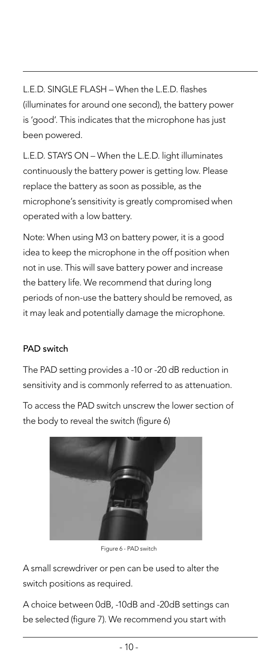L.E.D. SINGLE FLASH – When the L.E.D. flashes (illuminates for around one second), the battery power is 'good'. This indicates that the microphone has just been powered.

L.E.D. STAYS ON – When the L.E.D. light illuminates continuously the battery power is getting low. Please replace the battery as soon as possible, as the microphone's sensitivity is greatly compromised when operated with a low battery.

Note: When using M3 on battery power, it is a good idea to keep the microphone in the off position when not in use. This will save battery power and increase the battery life. We recommend that during long periods of non-use the battery should be removed, as it may leak and potentially damage the microphone.

### PAD switch

The PAD setting provides a -10 or -20 dB reduction in sensitivity and is commonly referred to as attenuation.

To access the PAD switch unscrew the lower section of the body to reveal the switch (figure 6)



Figure 6 - PAD switch

A small screwdriver or pen can be used to alter the switch positions as required.

A choice between 0dB, -10dB and -20dB settings can be selected (figure 7). We recommend you start with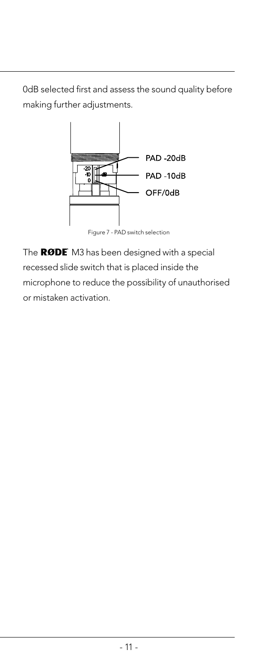0dB selected first and assess the sound quality before making further adjustments.



Figure 7 - PAD switch selection

The RØDE M3 has been designed with a special recessed slide switch that is placed inside the microphone to reduce the possibility of unauthorised or mistaken activation.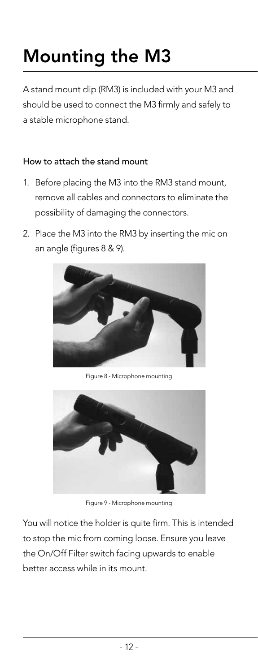# Mounting the M3

A stand mount clip (RM3) is included with your M3 and should be used to connect the M3 firmly and safely to a stable microphone stand.

### How to attach the stand mount

- 1. Before placing the M3 into the RM3 stand mount, remove all cables and connectors to eliminate the possibility of damaging the connectors.
- 2. Place the M3 into the RM3 by inserting the mic on an angle (figures 8 & 9).



Figure 8 - Microphone mounting



Figure 9 - Microphone mounting

You will notice the holder is quite firm. This is intended to stop the mic from coming loose. Ensure you leave the On/Off Filter switch facing upwards to enable better access while in its mount.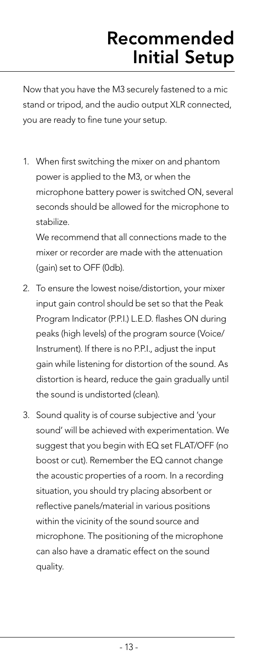### Recommended Initial Setup

Now that you have the M3 securely fastened to a mic stand or tripod, and the audio output XLR connected, you are ready to fine tune your setup.

1. When first switching the mixer on and phantom power is applied to the M3, or when the microphone battery power is switched ON, several seconds should be allowed for the microphone to stabilize.

We recommend that all connections made to the mixer or recorder are made with the attenuation (gain) set to OFF (0db).

- 2. To ensure the lowest noise/distortion, your mixer input gain control should be set so that the Peak Program Indicator (P.P.I.) L.E.D. flashes ON during peaks (high levels) of the program source (Voice/ Instrument). If there is no P.P.I., adjust the input gain while listening for distortion of the sound. As distortion is heard, reduce the gain gradually until the sound is undistorted (clean).
- 3. Sound quality is of course subjective and 'your sound' will be achieved with experimentation. We suggest that you begin with EQ set FLAT/OFF (no boost or cut). Remember the EQ cannot change the acoustic properties of a room. In a recording situation, you should try placing absorbent or reflective panels/material in various positions within the vicinity of the sound source and microphone. The positioning of the microphone can also have a dramatic effect on the sound quality.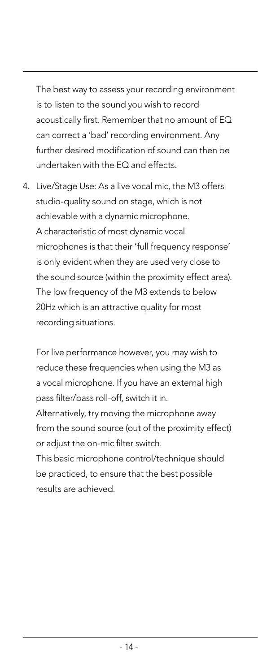The best way to assess your recording environment is to listen to the sound you wish to record acoustically first. Remember that no amount of EQ can correct a 'bad' recording environment. Any further desired modification of sound can then be undertaken with the EQ and effects.

4. Live/Stage Use: As a live vocal mic, the M3 offers studio-quality sound on stage, which is not achievable with a dynamic microphone. A characteristic of most dynamic vocal microphones is that their 'full frequency response' is only evident when they are used very close to the sound source (within the proximity effect area). The low frequency of the M3 extends to below 20Hz which is an attractive quality for most recording situations.

For live performance however, you may wish to reduce these frequencies when using the M3 as a vocal microphone. If you have an external high pass filter/bass roll-off, switch it in.

Alternatively, try moving the microphone away from the sound source (out of the proximity effect) or adjust the on-mic filter switch.

This basic microphone control/technique should be practiced, to ensure that the best possible results are achieved.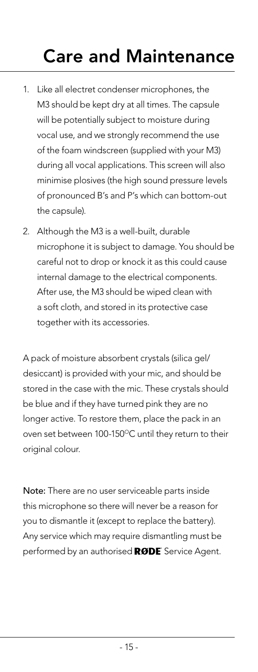## Care and Maintenance

- 1. Like all electret condenser microphones, the M3 should be kept dry at all times. The capsule will be potentially subject to moisture during vocal use, and we strongly recommend the use of the foam windscreen (supplied with your M3) during all vocal applications. This screen will also minimise plosives (the high sound pressure levels of pronounced B's and P's which can bottom-out the capsule).
- 2. Although the M3 is a well-built, durable microphone it is subject to damage. You should be careful not to drop or knock it as this could cause internal damage to the electrical components. After use, the M3 should be wiped clean with a soft cloth, and stored in its protective case together with its accessories.

A pack of moisture absorbent crystals (silica gel/ desiccant) is provided with your mic, and should be stored in the case with the mic. These crystals should be blue and if they have turned pink they are no longer active. To restore them, place the pack in an oven set between 100-150°C until they return to their original colour.

Note: There are no user serviceable parts inside this microphone so there will never be a reason for you to dismantle it (except to replace the battery). Any service which may require dismantling must be performed by an authorised  $\text{RODE}$  Service Agent.